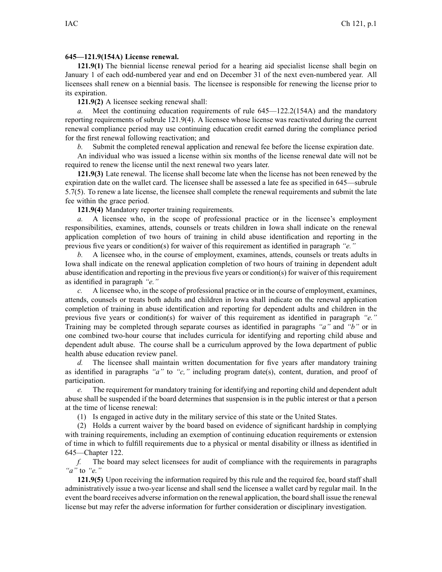## **645—121.9(154A) License renewal.**

**121.9(1)** The biennial license renewal period for <sup>a</sup> hearing aid specialist license shall begin on January 1 of each odd-numbered year and end on December 31 of the next even-numbered year. All licensees shall renew on <sup>a</sup> biennial basis. The licensee is responsible for renewing the license prior to its expiration.

**121.9(2)** A licensee seeking renewal shall:

*a.* Meet the continuing education requirements of rule [645—122.2](https://www.legis.iowa.gov/docs/iac/rule/645.122.2.pdf)(154A) and the mandatory reporting requirements of subrule [121.9\(4\)](https://www.legis.iowa.gov/docs/iac/rule/645.121.9.pdf). A licensee whose license was reactivated during the current renewal compliance period may use continuing education credit earned during the compliance period for the first renewal following reactivation; and

*b.* Submit the completed renewal application and renewal fee before the license expiration date.

An individual who was issued <sup>a</sup> license within six months of the license renewal date will not be required to renew the license until the next renewal two years later.

**121.9(3)** Late renewal. The license shall become late when the license has not been renewed by the expiration date on the wallet card. The licensee shall be assessed <sup>a</sup> late fee as specified in [645—subrule](https://www.legis.iowa.gov/docs/iac/rule/645.125.1.pdf) [5.7\(5\)](https://www.legis.iowa.gov/docs/iac/rule/645.125.1.pdf). To renew <sup>a</sup> late license, the licensee shall complete the renewal requirements and submit the late fee within the grace period.

**121.9(4)** Mandatory reporter training requirements.

*a.* A licensee who, in the scope of professional practice or in the licensee's employment responsibilities, examines, attends, counsels or treats children in Iowa shall indicate on the renewal application completion of two hours of training in child abuse identification and reporting in the previous five years or condition(s) for waiver of this requirement as identified in paragraph *"e."*

*b.* A licensee who, in the course of employment, examines, attends, counsels or treats adults in Iowa shall indicate on the renewal application completion of two hours of training in dependent adult abuse identification and reporting in the previous five years or condition(s) for waiver of thisrequirement as identified in paragraph *"e."*

*c.* A licensee who, in the scope of professional practice or in the course of employment, examines, attends, counsels or treats both adults and children in Iowa shall indicate on the renewal application completion of training in abuse identification and reporting for dependent adults and children in the previous five years or condition(s) for waiver of this requirement as identified in paragraph *"e."* Training may be completed through separate courses as identified in paragraphs *"a"* and *"b"* or in one combined two-hour course that includes curricula for identifying and reporting child abuse and dependent adult abuse. The course shall be <sup>a</sup> curriculum approved by the Iowa department of public health abuse education review panel.

*d.* The licensee shall maintain written documentation for five years after mandatory training as identified in paragraphs *"a"* to *"c,"* including program date(s), content, duration, and proof of participation.

*e.* The requirement for mandatory training for identifying and reporting child and dependent adult abuse shall be suspended if the board determines that suspension is in the public interest or that <sup>a</sup> person at the time of license renewal:

(1) Is engaged in active duty in the military service of this state or the United States.

(2) Holds <sup>a</sup> current waiver by the board based on evidence of significant hardship in complying with training requirements, including an exemption of continuing education requirements or extension of time in which to fulfill requirements due to <sup>a</sup> physical or mental disability or illness as identified in [645—Chapter](https://www.legis.iowa.gov/docs/iac/chapter/645.122.pdf) 122.

*f.* The board may select licensees for audit of compliance with the requirements in paragraphs *"a"* to *"e."*

**121.9(5)** Upon receiving the information required by this rule and the required fee, board staff shall administratively issue <sup>a</sup> two-year license and shall send the licensee <sup>a</sup> wallet card by regular mail. In the event the board receives adverse information on the renewal application, the board shall issue the renewal license but may refer the adverse information for further consideration or disciplinary investigation.